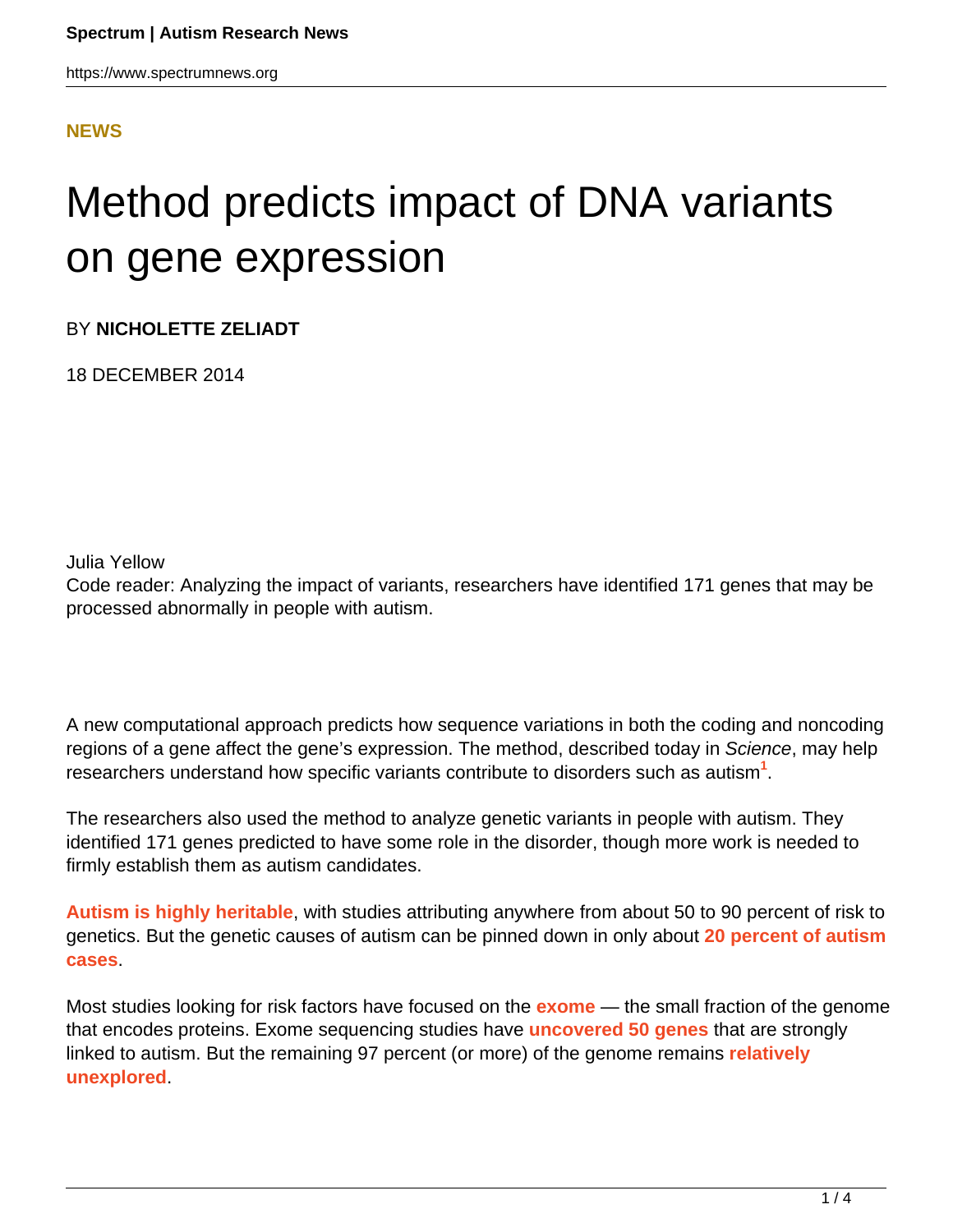https://www.spectrumnews.org

#### **[NEWS](HTTPS://WWW.SPECTRUMNEWS.ORG/NEWS/)**

# Method predicts impact of DNA variants on gene expression

BY **NICHOLETTE ZELIADT**

18 DECEMBER 2014

Julia Yellow

Code reader: Analyzing the impact of variants, researchers have identified 171 genes that may be processed abnormally in people with autism.

A new computational approach predicts how sequence variations in both the coding and noncoding regions of a gene affect the gene's expression. The method, described today in Science, may help researchers understand how specific variants contribute to disorders such as autism**<sup>1</sup>** .

The researchers also used the method to analyze genetic variants in people with autism. They identified 171 genes predicted to have some role in the disorder, though more work is needed to firmly establish them as autism candidates.

**[Autism is highly heritable](https://www.spectrumnews.org/news/2014/environment-genetics-may-contribute-equally-to-autism-risk)**, with studies attributing anywhere from about 50 to 90 percent of risk to genetics. But the genetic causes of autism can be pinned down in only about **[20 percent of autism](http://www.ncbi.nlm.nih.gov/pubmed/22463983) [cases](http://www.ncbi.nlm.nih.gov/pubmed/22463983)**.

Most studies looking for risk factors have focused on the **[exome](https://www.spectrumnews.org/wiki/exome)** — the small fraction of the genome that encodes proteins. Exome sequencing studies have **[uncovered 50 genes](https://www.spectrumnews.org/news/2014/massive-sequencing-studies-reveal-key-autism-genes)** that are strongly linked to autism. But the remaining 97 percent (or more) of the genome remains **[relatively](http://sfari.org/sfari-community/community-blog/2013/what-about-the-other-97-percent) [unexplored](http://sfari.org/sfari-community/community-blog/2013/what-about-the-other-97-percent)**.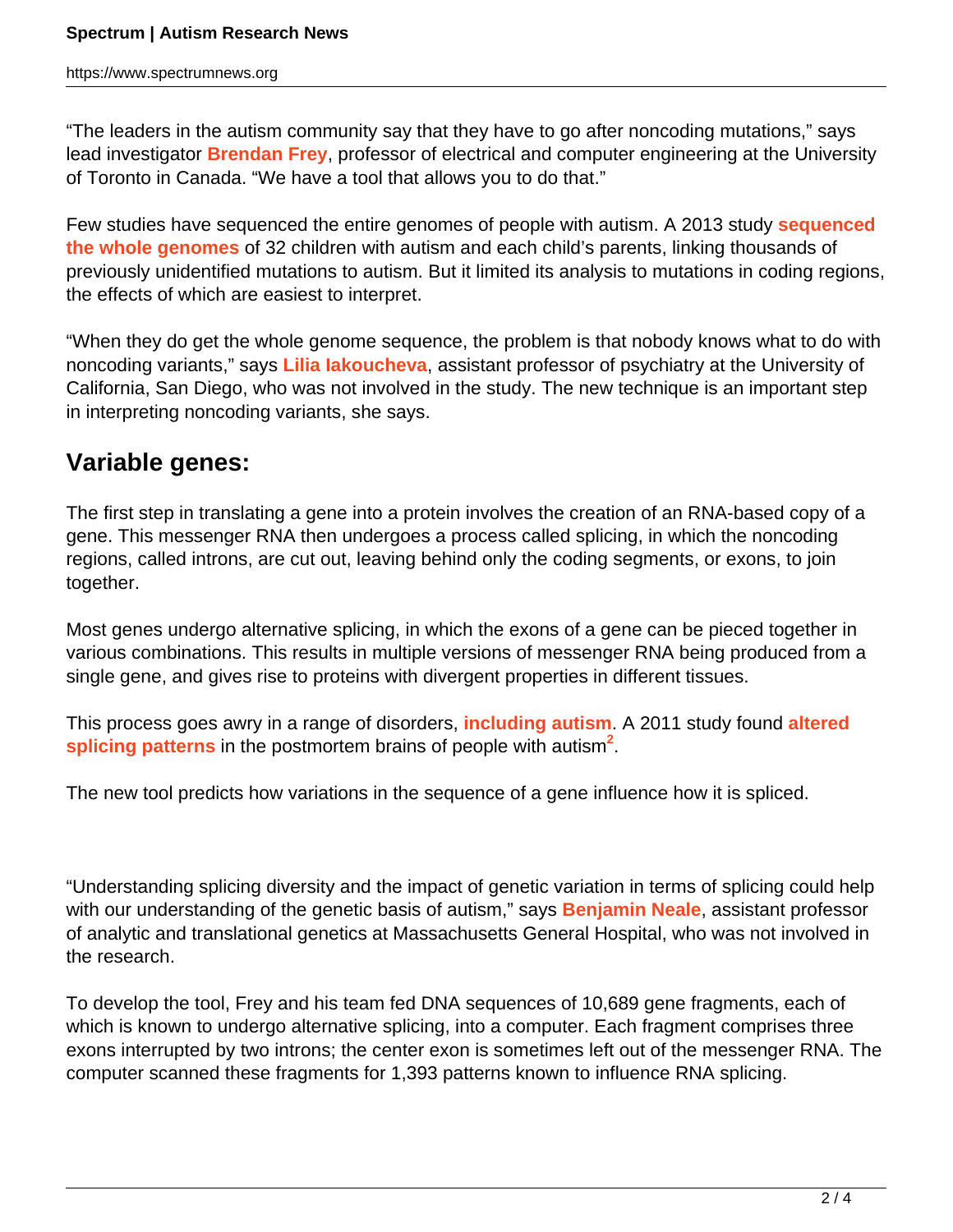"The leaders in the autism community say that they have to go after noncoding mutations," says lead investigator **[Brendan Frey](http://www.psi.toronto.edu/%7Efrey/)**, professor of electrical and computer engineering at the University of Toronto in Canada. "We have a tool that allows you to do that."

Few studies have sequenced the entire genomes of people with autism. A 2013 study **[sequenced](https://www.spectrumnews.org/news/2013/whole-genome-sequencing-unearths-new-autism-mutations) [the whole genomes](https://www.spectrumnews.org/news/2013/whole-genome-sequencing-unearths-new-autism-mutations)** of 32 children with autism and each child's parents, linking thousands of previously unidentified mutations to autism. But it limited its analysis to mutations in coding regions, the effects of which are easiest to interpret.

"When they do get the whole genome sequence, the problem is that nobody knows what to do with noncoding variants," says **[Lilia Iakoucheva](http://iakouchevalab.ucsd.edu/)**, assistant professor of psychiatry at the University of California, San Diego, who was not involved in the study. The new technique is an important step in interpreting noncoding variants, she says.

## **Variable genes:**

The first step in translating a gene into a protein involves the creation of an RNA-based copy of a gene. This messenger RNA then undergoes a process called splicing, in which the noncoding regions, called introns, are cut out, leaving behind only the coding segments, or exons, to join together.

Most genes undergo alternative splicing, in which the exons of a gene can be pieced together in various combinations. This results in multiple versions of messenger RNA being produced from a single gene, and gives rise to proteins with divergent properties in different tissues.

This process goes awry in a range of disorders, **[including autism](https://www.spectrumnews.org/in-brief/2012/genetics-splicing-gene-alters-expression-of-autism-genes)**. A 2011 study found **[altered](https://www.spectrumnews.org/news/2011/networks-of-genes-altered-in-autism-brains-study-says) [splicing patterns](https://www.spectrumnews.org/news/2011/networks-of-genes-altered-in-autism-brains-study-says)** in the postmortem brains of people with autism**<sup>2</sup>** .

The new tool predicts how variations in the sequence of a gene influence how it is spliced.

"Understanding splicing diversity and the impact of genetic variation in terms of splicing could help with our understanding of the genetic basis of autism," says **[Benjamin Neale](http://sfari.org/author/?author=https://id.simonsfoundation.org/benjaminneale)**, assistant professor of analytic and translational genetics at Massachusetts General Hospital, who was not involved in the research.

To develop the tool, Frey and his team fed DNA sequences of 10,689 gene fragments, each of which is known to undergo alternative splicing, into a computer. Each fragment comprises three exons interrupted by two introns; the center exon is sometimes left out of the messenger RNA. The computer scanned these fragments for 1,393 patterns known to influence RNA splicing.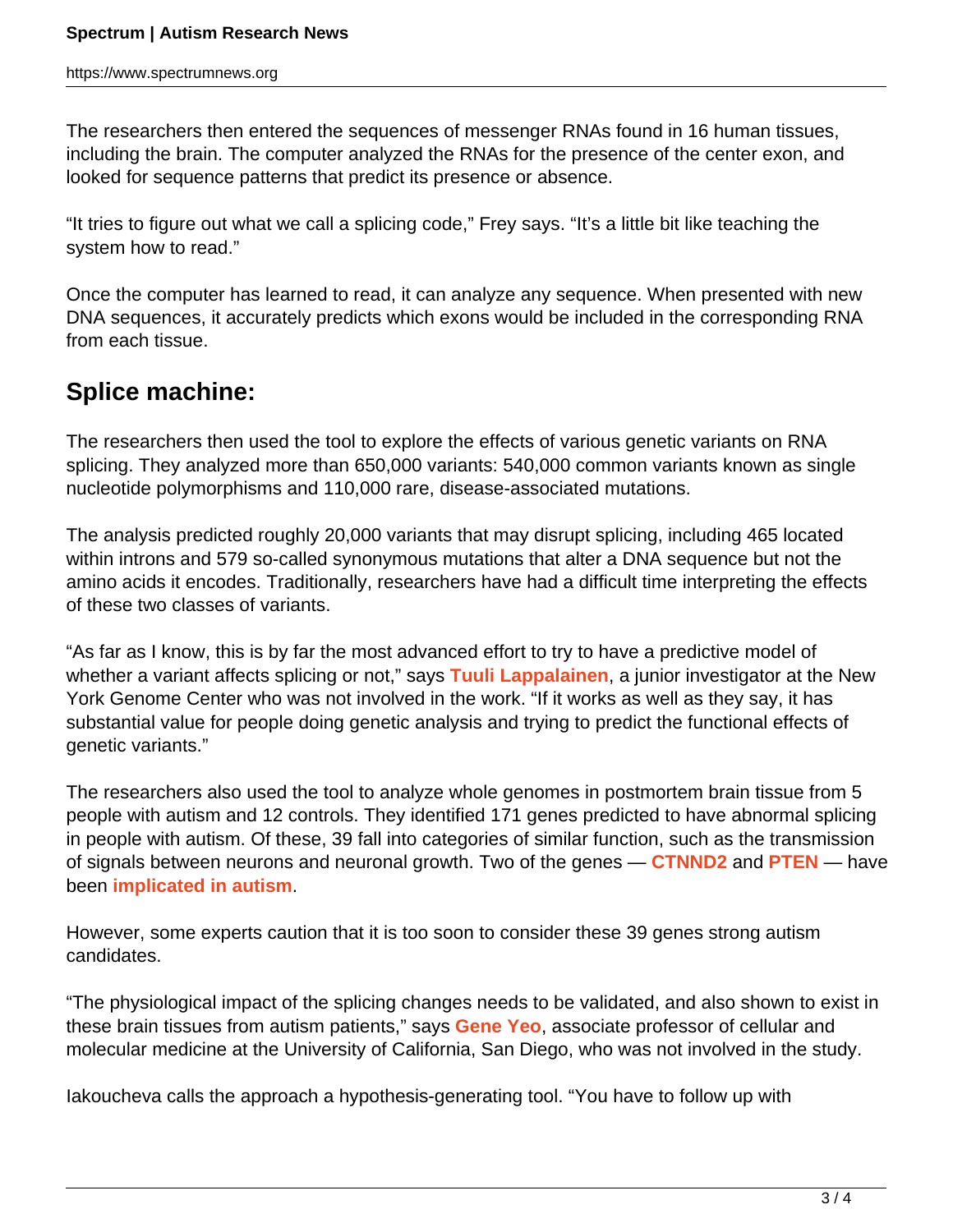The researchers then entered the sequences of messenger RNAs found in 16 human tissues, including the brain. The computer analyzed the RNAs for the presence of the center exon, and looked for sequence patterns that predict its presence or absence.

"It tries to figure out what we call a splicing code," Frey says. "It's a little bit like teaching the system how to read."

Once the computer has learned to read, it can analyze any sequence. When presented with new DNA sequences, it accurately predicts which exons would be included in the corresponding RNA from each tissue.

## **Splice machine:**

The researchers then used the tool to explore the effects of various genetic variants on RNA splicing. They analyzed more than 650,000 variants: 540,000 common variants known as single nucleotide polymorphisms and 110,000 rare, disease-associated mutations.

The analysis predicted roughly 20,000 variants that may disrupt splicing, including 465 located within introns and 579 so-called synonymous mutations that alter a DNA sequence but not the amino acids it encodes. Traditionally, researchers have had a difficult time interpreting the effects of these two classes of variants.

"As far as I know, this is by far the most advanced effort to try to have a predictive model of whether a variant affects splicing or not," says **[Tuuli Lappalainen](http://tllab.org/people/#Tuuli)**, a junior investigator at the New York Genome Center who was not involved in the work. "If it works as well as they say, it has substantial value for people doing genetic analysis and trying to predict the functional effects of genetic variants."

The researchers also used the tool to analyze whole genomes in postmortem brain tissue from 5 people with autism and 12 controls. They identified 171 genes predicted to have abnormal splicing in people with autism. Of these, 39 fall into categories of similar function, such as the transmission of signals between neurons and neuronal growth. Two of the genes — **[CTNND2](http://www.ncbi.nlm.nih.gov/pubmed/21358714)** and **[PTEN](https://www.spectrumnews.org/news/2014/scientists-catalog-effects-of-pten-mutations-in-autism)** — have been **[implicated in autism](https://www.spectrumnews.org/news/2012/autism-gene-pten-plays-vital-role-in-neural-stem-cells)**.

However, some experts caution that it is too soon to consider these 39 genes strong autism candidates.

"The physiological impact of the splicing changes needs to be validated, and also shown to exist in these brain tissues from autism patients," says **[Gene Yeo](http://yeolab.ucsd.edu/yeolab/Gene_Yeo.html)**, associate professor of cellular and molecular medicine at the University of California, San Diego, who was not involved in the study.

Iakoucheva calls the approach a hypothesis-generating tool. "You have to follow up with